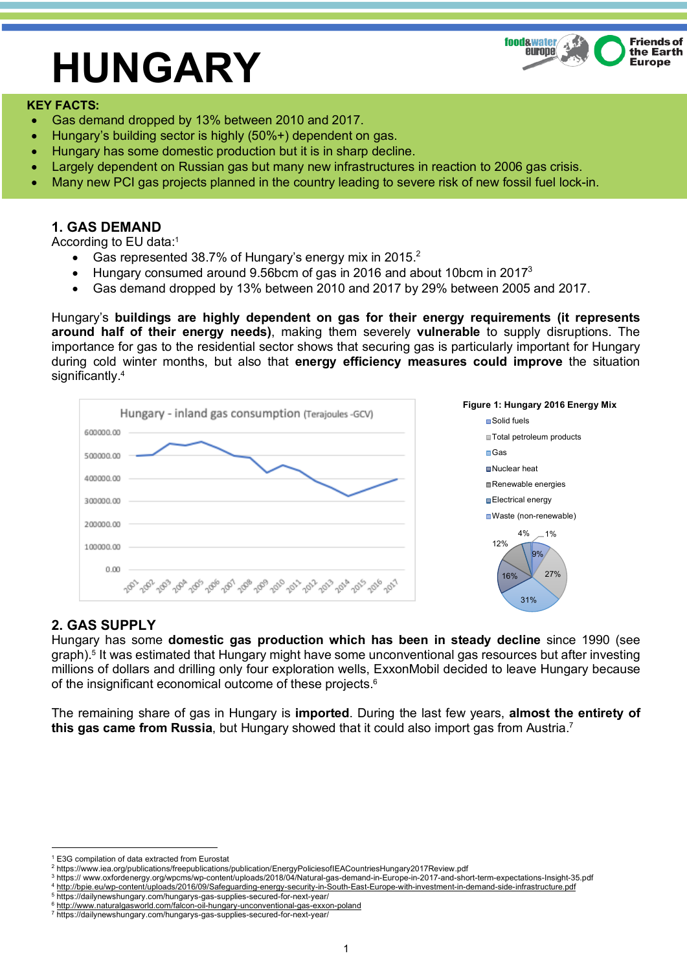# **HUNGARY**



### **KEY FACTS:**

- Gas demand dropped by 13% between 2010 and 2017.
- Hungary's building sector is highly (50%+) dependent on gas.
- Hungary has some domestic production but it is in sharp decline.
- Largely dependent on Russian gas but many new infrastructures in reaction to 2006 gas crisis.
- Many new PCI gas projects planned in the country leading to severe risk of new fossil fuel lock-in.

## **1. GAS DEMAND**

According to EU data:1

- Gas represented 38.7% of Hungary's energy mix in 2015.<sup>2</sup>
- Hungary consumed around 9.56bcm of gas in 2016 and about 10bcm in 20173
- Gas demand dropped by 13% between 2010 and 2017 by 29% between 2005 and 2017.

Hungary's **buildings are highly dependent on gas for their energy requirements (it represents around half of their energy needs)**, making them severely **vulnerable** to supply disruptions. The importance for gas to the residential sector shows that securing gas is particularly important for Hungary during cold winter months, but also that **energy efficiency measures could improve** the situation significantly.<sup>4</sup>



## **2. GAS SUPPLY**

Hungary has some **domestic gas production which has been in steady decline** since 1990 (see graph). <sup>5</sup> It was estimated that Hungary might have some unconventional gas resources but after investing millions of dollars and drilling only four exploration wells, ExxonMobil decided to leave Hungary because of the insignificant economical outcome of these projects.6

The remaining share of gas in Hungary is **imported**. During the last few years, **almost the entirety of this gas came from Russia**, but Hungary showed that it could also import gas from Austria. 7

<sup>&</sup>lt;u>.</u> <sup>1</sup> E3G compilation of data extracted from Eurostat

<sup>2</sup> https://www.iea.org/publications/freepublications/publication/EnergyPoliciesofIEACountriesHungary2017Review.pdf

<sup>3</sup> https:// www.oxfordenergy.org/wpcms/wp-content/uploads/2018/04/Natural-gas-demand-in-Europe-in-2017-and-short-term-expectations-Insight-35.pdf <sup>4</sup> http://bpie.eu/wp-content/uploads/2016/09/Safeguarding-energy-security-in-South-East-Europe-with-investment-in-demand-side-infrastructure.pdf 5 https://dailynewshungary.com/hungarys-gas-supplies-secured-for-next-year/

<sup>&</sup>lt;sup>6</sup> http://www.naturalgasworld.com/falcon-oil-hungary-unconventional-gas-exxon

<sup>7</sup> https://dailynewshungary.com/hungarys-gas-supplies-secured-for-next-year/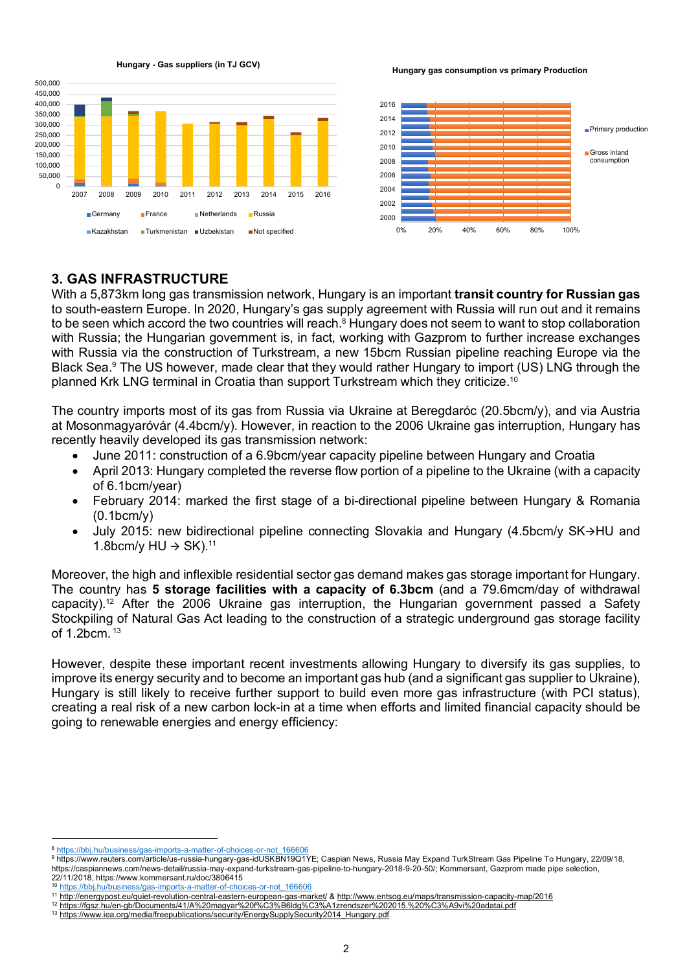

**Hungary - Gas suppliers (in TJ GCV)**

**Hungary gas consumption vs primary Production** 



## **3. GAS INFRASTRUCTURE**

With a 5,873km long gas transmission network, Hungary is an important **transit country for Russian gas** to south-eastern Europe. In 2020, Hungary's gas supply agreement with Russia will run out and it remains to be seen which accord the two countries will reach.<sup>8</sup> Hungary does not seem to want to stop collaboration with Russia; the Hungarian government is, in fact, working with Gazprom to further increase exchanges with Russia via the construction of Turkstream, a new 15bcm Russian pipeline reaching Europe via the Black Sea.<sup>9</sup> The US however, made clear that they would rather Hungary to import (US) LNG through the planned Krk LNG terminal in Croatia than support Turkstream which they criticize.10

2016

The country imports most of its gas from Russia via Ukraine at Beregdaróc (20.5bcm/y), and via Austria at Mosonmagyaróvár (4.4bcm/y). However, in reaction to the 2006 Ukraine gas interruption, Hungary has recently heavily developed its gas transmission network:

- June 2011: construction of a 6.9bcm/year capacity pipeline between Hungary and Croatia
- April 2013: Hungary completed the reverse flow portion of a pipeline to the Ukraine (with a capacity of 6.1bcm/year)
- February 2014: marked the first stage of a bi-directional pipeline between Hungary & Romania (0.1bcm/y)
- July 2015: new bidirectional pipeline connecting Slovakia and Hungary (4.5bcm/y SK $\rightarrow$ HU and 1.8bcm/y  $HU \rightarrow SK$ ).<sup>11</sup>

Moreover, the high and inflexible residential sector gas demand makes gas storage important for Hungary. The country has **5 storage facilities with a capacity of 6.3bcm** (and a 79.6mcm/day of withdrawal capacity). <sup>12</sup> After the 2006 Ukraine gas interruption, the Hungarian government passed a Safety Stockpiling of Natural Gas Act leading to the construction of a strategic underground gas storage facility of 1.2bcm. <sup>13</sup>

However, despite these important recent investments allowing Hungary to diversify its gas supplies, to improve its energy security and to become an important gas hub (and a significant gas supplier to Ukraine), Hungary is still likely to receive further support to build even more gas infrastructure (with PCI status), creating a real risk of a new carbon lock-in at a time when efforts and limited financial capacity should be going to renewable energies and energy efficiency:

1

<sup>8</sup> https://bbj.hu/business/gas-imports-a-matter-of-choices-or-not\_166606

<sup>9</sup> https://www.reuters.com/article/us-russia-hungary-gas-idUSKBN19Q1YE; Caspian News, Russia May Expand TurkStream Gas Pipeline To Hungary, 22/09/18, https://caspiannews.com/news-detail/russia-may-expand-turkstream-gas-pipeline-to-hungary-2018-9-20-50/; Kommersant, Gazprom made pipe selection, 22/11/2018, https://www.kommersant.ru/doc/3806415

<sup>10</sup> https://bbj.hu/business/gas-imports-a-matter-of-choices-or-not\_166606

<sup>11</sup> http://energypost.eu/quiet-revolution-central-eastern-european-gas-market/ & http://www.entsog.eu/maps/transmission-capacity-map/2016

<sup>12</sup> https://fgsz.hu/en-gb/Documents/41/A%20magyar%20f%C3%B6ldg%C3%A1zrendszer%202015.%20%C3%A9vi%20adatai.pdf

<sup>13</sup> https://www.iea.org/media/freepublications/security/EnergySupplySecurity2014\_Hungary.pdf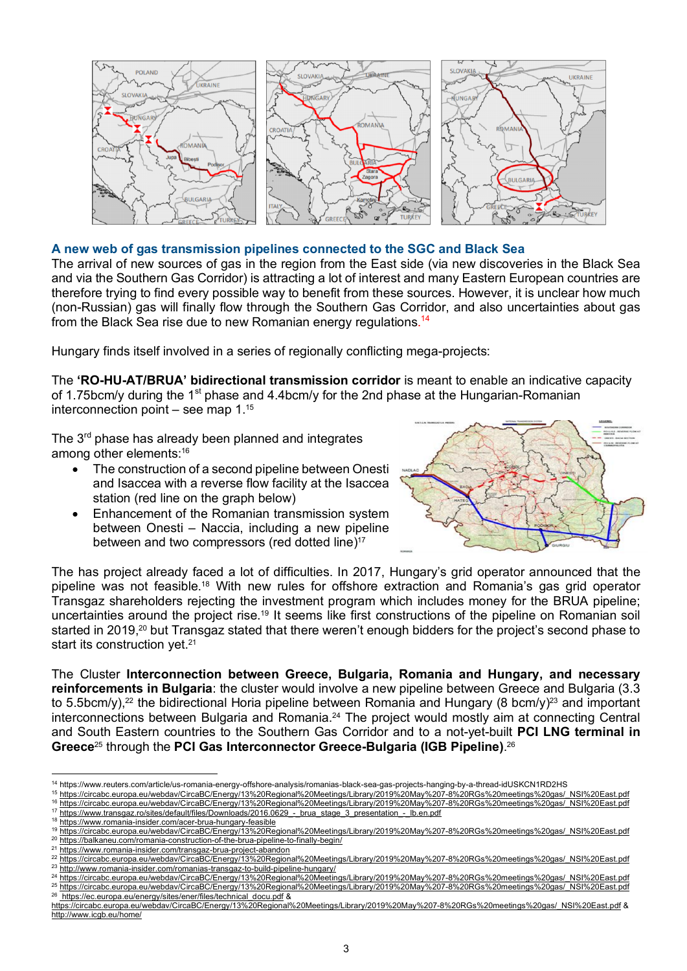

### **A new web of gas transmission pipelines connected to the SGC and Black Sea**

The arrival of new sources of gas in the region from the East side (via new discoveries in the Black Sea and via the Southern Gas Corridor) is attracting a lot of interest and many Eastern European countries are therefore trying to find every possible way to benefit from these sources. However, it is unclear how much (non-Russian) gas will finally flow through the Southern Gas Corridor, and also uncertainties about gas from the Black Sea rise due to new Romanian energy regulations.<sup>14</sup>

Hungary finds itself involved in a series of regionally conflicting mega-projects:

The **'RO-HU-AT/BRUA' bidirectional transmission corridor** is meant to enable an indicative capacity of 1.75bcm/y during the 1<sup>st</sup> phase and 4.4bcm/y for the 2nd phase at the Hungarian-Romanian interconnection point – see map  $1.^{15}$ 

The 3<sup>rd</sup> phase has already been planned and integrates among other elements: 16

- The construction of a second pipeline between Onesti and Isaccea with a reverse flow facility at the Isaccea station (red line on the graph below)
- Enhancement of the Romanian transmission system between Onesti – Naccia, including a new pipeline between and two compressors (red dotted line)<sup>17</sup>



The has project already faced a lot of difficulties. In 2017, Hungary's grid operator announced that the pipeline was not feasible.18 With new rules for offshore extraction and Romania's gas grid operator Transgaz shareholders rejecting the investment program which includes money for the BRUA pipeline; uncertainties around the project rise.19 It seems like first constructions of the pipeline on Romanian soil started in 2019,<sup>20</sup> but Transgaz stated that there weren't enough bidders for the project's second phase to start its construction yet.<sup>21</sup>

The Cluster **Interconnection between Greece, Bulgaria, Romania and Hungary, and necessary reinforcements in Bulgaria**: the cluster would involve a new pipeline between Greece and Bulgaria (3.3 to 5.5bcm/y),<sup>22</sup> the bidirectional Horia pipeline between Romania and Hungary (8 bcm/y)<sup>23</sup> and important interconnections between Bulgaria and Romania. <sup>24</sup> The project would mostly aim at connecting Central and South Eastern countries to the Southern Gas Corridor and to a not-yet-built **PCI LNG terminal in Greece**<sup>25</sup> through the **PCI Gas Interconnector Greece-Bulgaria (IGB Pipeline)**. 26

<sup>18</sup> https://www.romania-insider.com/acer-brua-hungary-feasible

<sup>1</sup> <sup>14</sup> https://www.reuters.com/article/us-romania-energy-offshore-analysis/romanias-black-sea-gas-projects-hanging-by-a-thread-idUSKCN1RD2HS

<sup>&</sup>lt;sup>15</sup> https://circabc.europa.eu/webdav/CircaBC/Energy/13%20Regional%20Meetings/Library/2019%20May%207-8%20RGs%20meetings%20gas/\_NSI%20East.pdf<br>16 https://circabc.europa.eu/webdav/CircaBC/Energy/13%20Regional%20Meetings/Libr <sup>16</sup> https://circabc.europa.eu/webdav/CircaBC/Energy/13%20Regional%20Meetings/Library/2019%20May%207-8%20RGs%20meetings%20gas/\_NSI%20East.pdf

<sup>17</sup> https://www.transqaz.ro/sites/default/files/Downloads/2016.0629\_-\_brua\_stage\_3\_presentation\_-\_lb.en.pdf

<sup>19</sup> https://circabc.europa.eu/webdav/CircaBC/Energy/13%20Regional%20Meetings/Library/2019%20May%207-8%20RGs%20meetings%20gas/\_NSI%20East.pdf 20 https://balkaneu.com/romania-construction-of-the-brua-pipeline-to-finally-begin/

<sup>21</sup> https://www.romania-insider.com/transgaz-brua-project-abandon

<sup>22</sup> https://circabc.europa.eu/webdav/CircaBC/Energy/13%20Regional%20Meetings/Library/2019%20May%207-8%20RGs%20meetings%20gas/\_NSI%20East.pdf

<sup>23</sup> http://www.romania-insider.com/romanias-transgaz-to-build-pipeline-hungary/

<sup>24</sup> https://circabc.europa.eu/webdav/CircaBC/Energy/13%20Regional%20Meetings/Library/2019%20May%207-8%20RGs%20meetings%20gas/\_NSI%20East.pdf <sup>25</sup> https://circabc.europa.eu/webdav/CircaBC/Energy/13%20Regional%20Meetings/Library/2019%20May%207-8%20RGs%20meetings%20gas/\_NSI%20East.pdf <sup>26</sup> https://ec.europa.eu/energy/sites/ener/files/technical\_docu.pdf &

https://circabc.europa.eu/webdav/CircaBC/Energy/13%20Regional%20Meetings/Library/2019%20May%207-8%20RGs%20meetings%20gas/\_NSI%20East.pdf & http://www.icgb.eu/home/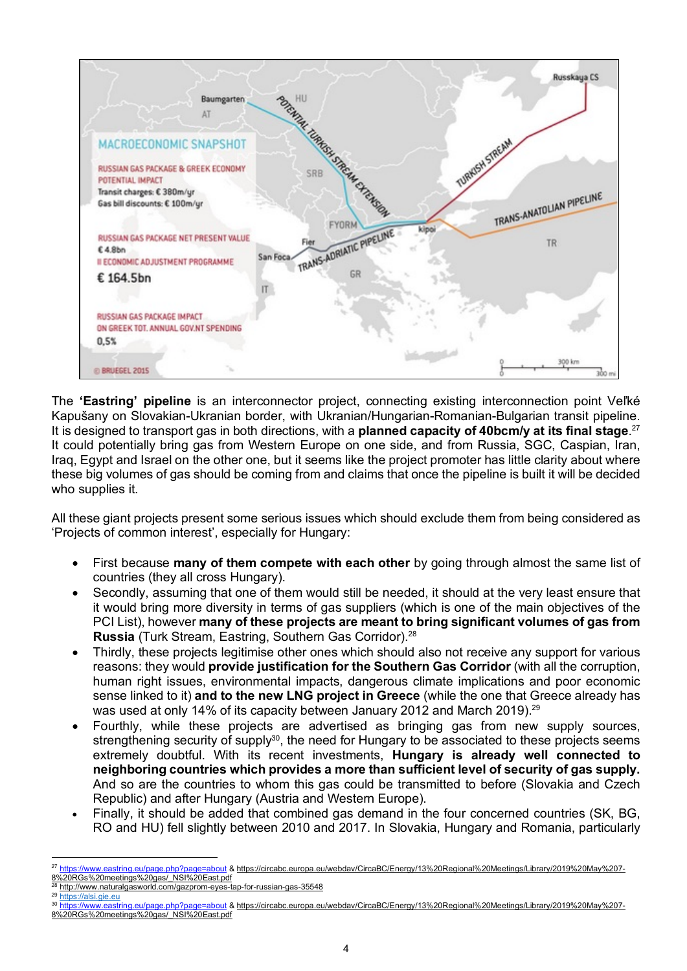

The **'Eastring' pipeline** is an interconnector project, connecting existing interconnection point Veľké Kapušany on Slovakian-Ukranian border, with Ukranian/Hungarian-Romanian-Bulgarian transit pipeline. It is designed to transport gas in both directions, with a **planned capacity of 40bcm/y at its final stage**. 27 It could potentially bring gas from Western Europe on one side, and from Russia, SGC, Caspian, Iran, Iraq, Egypt and Israel on the other one, but it seems like the project promoter has little clarity about where these big volumes of gas should be coming from and claims that once the pipeline is built it will be decided who supplies it.

All these giant projects present some serious issues which should exclude them from being considered as 'Projects of common interest', especially for Hungary:

- First because **many of them compete with each other** by going through almost the same list of countries (they all cross Hungary).
- Secondly, assuming that one of them would still be needed, it should at the very least ensure that it would bring more diversity in terms of gas suppliers (which is one of the main objectives of the PCI List), however **many of these projects are meant to bring significant volumes of gas from Russia** (Turk Stream, Eastring, Southern Gas Corridor).28
- Thirdly, these projects legitimise other ones which should also not receive any support for various reasons: they would **provide justification for the Southern Gas Corridor** (with all the corruption, human right issues, environmental impacts, dangerous climate implications and poor economic sense linked to it) **and to the new LNG project in Greece** (while the one that Greece already has was used at only 14% of its capacity between January 2012 and March 2019).29
- Fourthly, while these projects are advertised as bringing gas from new supply sources, strengthening security of supply<sup>30</sup>, the need for Hungary to be associated to these projects seems extremely doubtful. With its recent investments, **Hungary is already well connected to neighboring countries which provides a more than sufficient level of security of gas supply.** And so are the countries to whom this gas could be transmitted to before (Slovakia and Czech Republic) and after Hungary (Austria and Western Europe).
- Finally, it should be added that combined gas demand in the four concerned countries (SK, BG, RO and HU) fell slightly between 2010 and 2017. In Slovakia, Hungary and Romania, particularly

https://alsi.gie.eu

1

<sup>30</sup> https://www.eastring.eu/page.php?page=about & https://circabc.europa.eu/webdav/CircaBC/Energy/13%20Regional%20Meetings/Library/2019%20May%207- 8%20RGs%20meetings%20gas/\_NSI%20East.pdf

<sup>&</sup>lt;sup>27</sup> https://www.eastring.eu/page.php?page=about & https://circabc.europa.eu/webdav/CircaBC/Energy/13%20Regional%20Meetings/Library/2019%20May%207-8%20RGs%20meetings%20gas/\_NSI%20East.pdf

<sup>&</sup>lt;sup>28</sup> http://www.naturalgasworld.com/gazprom-eyes-tap-for-russian-gas-35548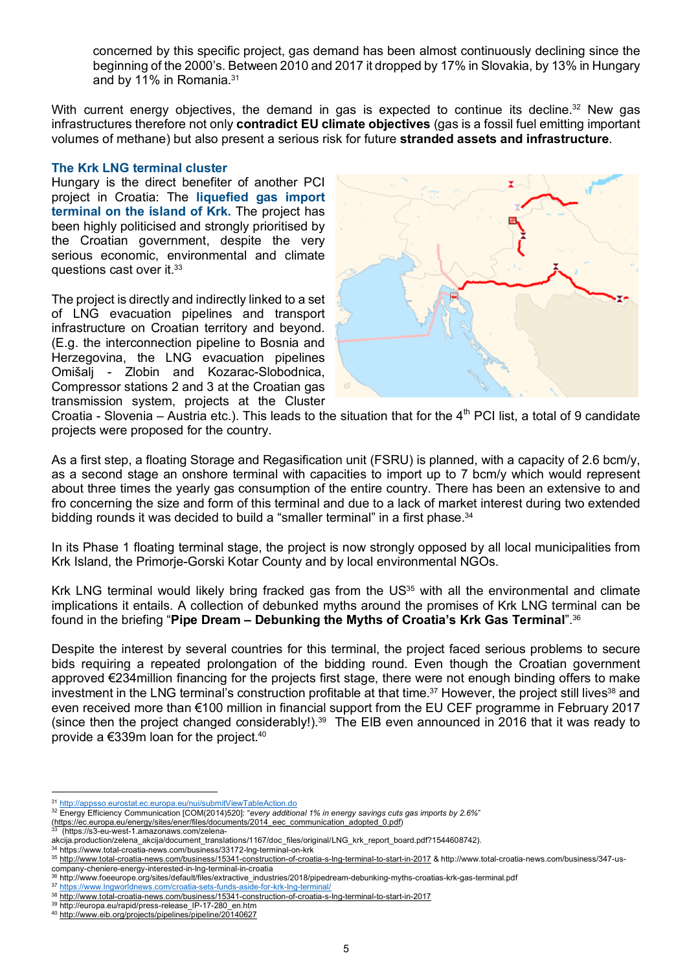concerned by this specific project, gas demand has been almost continuously declining since the beginning of the 2000's. Between 2010 and 2017 it dropped by 17% in Slovakia, by 13% in Hungary and by 11% in Romania.31

With current energy objectives, the demand in gas is expected to continue its decline.<sup>32</sup> New gas infrastructures therefore not only **contradict EU climate objectives** (gas is a fossil fuel emitting important volumes of methane) but also present a serious risk for future **stranded assets and infrastructure**.

### **The Krk LNG terminal cluster**

Hungary is the direct benefiter of another PCI project in Croatia: The **liquefied gas import terminal on the island of Krk.** The project has been highly politicised and strongly prioritised by the Croatian government, despite the very serious economic, environmental and climate questions cast over it.33

The project is directly and indirectly linked to a set of LNG evacuation pipelines and transport infrastructure on Croatian territory and beyond. (E.g. the interconnection pipeline to Bosnia and Herzegovina, the LNG evacuation pipelines Omišalj - Zlobin and Kozarac-Slobodnica, Compressor stations 2 and 3 at the Croatian gas transmission system, projects at the Cluster



Croatia - Slovenia – Austria etc.). This leads to the situation that for the  $4<sup>th</sup>$  PCI list, a total of 9 candidate projects were proposed for the country.

As a first step, a floating Storage and Regasification unit (FSRU) is planned, with a capacity of 2.6 bcm/y, as a second stage an onshore terminal with capacities to import up to 7 bcm/y which would represent about three times the yearly gas consumption of the entire country. There has been an extensive to and fro concerning the size and form of this terminal and due to a lack of market interest during two extended bidding rounds it was decided to build a "smaller terminal" in a first phase.<sup>34</sup>

In its Phase 1 floating terminal stage, the project is now strongly opposed by all local municipalities from Krk Island, the Primorje-Gorski Kotar County and by local environmental NGOs.

Krk LNG terminal would likely bring fracked gas from the US<sup>35</sup> with all the environmental and climate implications it entails. A collection of debunked myths around the promises of Krk LNG terminal can be found in the briefing "**Pipe Dream – Debunking the Myths of Croatia's Krk Gas Terminal**".36

Despite the interest by several countries for this terminal, the project faced serious problems to secure bids requiring a repeated prolongation of the bidding round. Even though the Croatian government approved €234million financing for the projects first stage, there were not enough binding offers to make investment in the LNG terminal's construction profitable at that time.<sup>37</sup> However, the project still lives<sup>38</sup> and even received more than €100 million in financial support from the EU CEF programme in February 2017 (since then the project changed considerably!). 39 The EIB even announced in 2016 that it was ready to provide a €339m loan for the project.40

<u>.</u>

<sup>31</sup> http://appsso.eurostat.ec.europa.eu/nui/submitViewTableAction.do

<sup>32</sup> Energy Efficiency Communication [COM(2014)520]: "*every additional 1% in energy savings cuts gas imports by 2.6%*"

<sup>(</sup>https://ec.europa.eu/energy/sites/ener/files/documents/2014\_eec\_communication\_adopted\_0.pdf) 33 (https://s3-eu-west-1.amazonaws.com/zelena-

akcija.production/zelena\_akcija/document\_translations/1167/doc\_files/original/LNG\_krk\_report\_board.pdf?1544608742).

<sup>34</sup> https://www.total-croatia-news.com/business/33172-lng-terminal-on-krk

<sup>35</sup> http://www.total-croatia-news.com/business/15341-construction-of-croatia-s-lng-terminal-to-start-in-2017 & http://www.total-croatia-news.com/business/347-uscompany-cheniere-energy-interested-in-lng-terminal-in-croatia

<sup>36</sup> http://www.foeeurope.org/sites/default/files/extractive\_industries/2018/pipedream-debunking-myths-croatias-krk-gas-terminal.pdf

<sup>37</sup> https://www.lngworldnews.com/croatia-sets-funds-aside-for-krk-lng-terminal/

<sup>38</sup> http://www.total-croatia-news.com/business/15341-construction-of-croatia-s-lng-terminal-to-start-in-2017

<sup>39</sup> http://europa.eu/rapid/press-release\_IP-17-280\_en.htm

<sup>40</sup> http://www.eib.org/projects/pipelines/pipeline/20140627